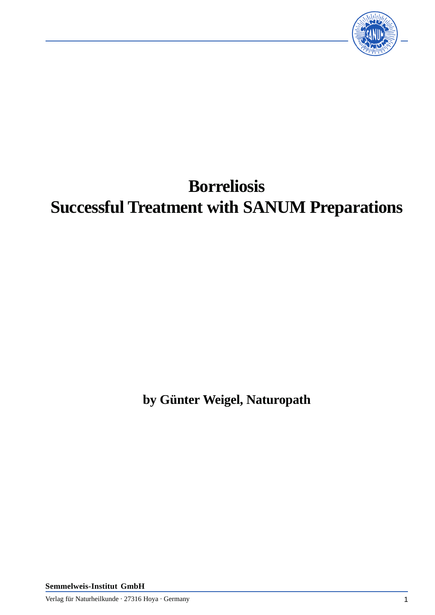

# **Borreliosis Successful Treatment with SANUM Preparations**

**by Günter Weigel, Naturopath**

**Semmelweis-Institut GmbH**

Verlag für Naturheilkunde · 27316 Hoya · Germany 1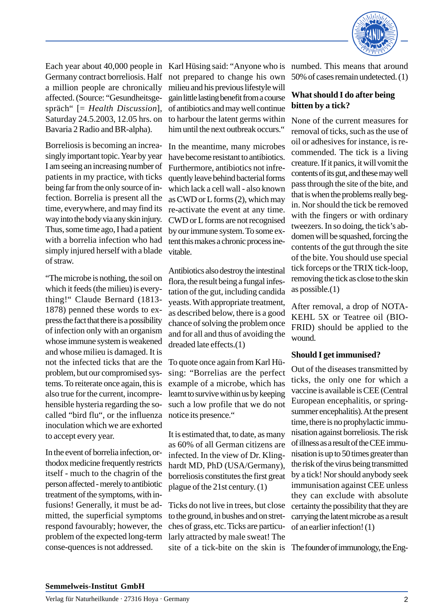

Each year about 40,000 people in Germany contract borreliosis. Half a million people are chronically affected. (Source: "Gesundheitsgespräch" [= *Health Discussion*], Saturday 24.5.2003, 12.05 hrs. on Bavaria 2 Radio and BR-alpha).

Borreliosis is becoming an increasingly important topic. Year by year I am seeing an increasing number of patients in my practice, with ticks being far from the only source of infection. Borrelia is present all the time, everywhere, and may find its way into the body via any skin injury. Thus, some time ago, I had a patient with a borrelia infection who had simply injured herself with a blade of straw.

"The microbe is nothing, the soil on which it feeds (the milieu) is everything!" Claude Bernard (1813- 1878) penned these words to express the fact that there is a possibility of infection only with an organism whose immune system is weakened and whose milieu is damaged. It is not the infected ticks that are the problem, but our compromised systems. To reiterate once again, this is also true for the current, incomprehensible hysteria regarding the socalled "bird flu", or the influenza inoculation which we are exhorted to accept every year.

In the event of borrelia infection, orthodox medicine frequently restricts itself - much to the chagrin of the person affected - merely to antibiotic treatment of the symptoms, with infusions! Generally, it must be admitted, the superficial symptoms respond favourably; however, the problem of the expected long-term conse-quences is not addressed.

Karl Hüsing said: "Anyone who is numbed. This means that around not prepared to change his own milieu and his previous lifestyle will gain little lasting benefit from a course of antibiotics and may well continue to harbour the latent germs within him until the next outbreak occurs."

In the meantime, many microbes have become resistant to antibiotics. Furthermore, antibiotics not infrequently leave behind bacterial forms which lack a cell wall - also known as CWD or L forms (2), which may re-activate the event at any time. CWD or L forms are not recognised by our immune system. To some extent this makes a chronic process inevitable.

Antibiotics also destroy the intestinal flora, the result being a fungal infestation of the gut, including candida yeasts. With appropriate treatment, as described below, there is a good chance of solving the problem once and for all and thus of avoiding the dreaded late effects.(1)

To quote once again from Karl Hüsing: "Borrelias are the perfect example of a microbe, which has learnt to survive within us by keeping such a low profile that we do not notice its presence."

It is estimated that, to date, as many as 60% of all German citizens are infected. In the view of Dr. Klinghardt MD, PhD (USA/Germany), borreliosis constitutes the first great plague of the 21st century. (1)

Ticks do not live in trees, but close to the ground, in bushes and on stretches of grass, etc. Ticks are particularly attracted by male sweat! The site of a tick-bite on the skin is The founder of immunology, the Eng-

50% of cases remain undetected. (1)

## **What should I do after being bitten by a tick?**

None of the current measures for removal of ticks, such as the use of oil or adhesives for instance, is recommended. The tick is a living creature. If it panics, it will vomit the contents of its gut, and these may well pass through the site of the bite, and that is when the problems really begin. Nor should the tick be removed with the fingers or with ordinary tweezers. In so doing, the tick's abdomen will be squashed, forcing the contents of the gut through the site of the bite. You should use special tick forceps or the TRIX tick-loop, removing the tick as close to the skin as possible.(1)

After removal, a drop of NOTA-KEHL 5X or Teatree oil (BIO-FRID) should be applied to the wound.

## **Should I get immunised?**

Out of the diseases transmitted by ticks, the only one for which a vaccine is available is CEE (Central European encephalitis, or springsummer encephalitis). At the present time, there is no prophylactic immunisation against borreliosis. The risk of illness as a result of the CEE immunisation is up to 50 times greater than the risk of the virus being transmitted by a tick! Nor should anybody seek immunisation against CEE unless they can exclude with absolute certainty the possibility that they are carrying the latent microbe as a result of an earlier infection! (1)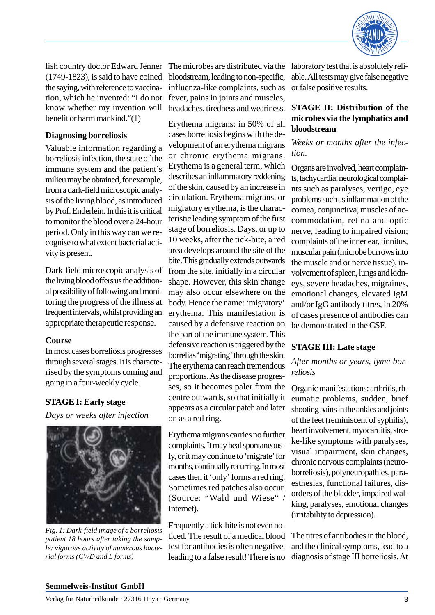

lish country doctor Edward Jenner (1749-1823), is said to have coined the saying, with reference to vaccination, which he invented: "I do not know whether my invention will benefit or harm mankind."(1)

## **Diagnosing borreliosis**

Valuable information regarding a borreliosis infection, the state of the immune system and the patient's milieu may be obtained, for example, from a dark-field microscopic analysis of the living blood, as introduced by Prof. Enderlein. In this it is critical to monitor the blood over a 24-hour period. Only in this way can we recognise to what extent bacterial activity is present.

Dark-field microscopic analysis of the living blood offers us the additional possibility of following and monitoring the progress of the illness at frequent intervals, whilst providing an appropriate therapeutic response.

## **Course**

In most cases borreliosis progresses through several stages. It is characterised by the symptoms coming and going in a four-weekly cycle.

# **STAGE I: Early stage**

*Days or weeks after infection*



*Fig. 1: Dark-field image of a borreliosis patient 18 hours after taking the sample: vigorous activity of numerous bacterial forms (CWD and L forms)*

The microbes are distributed via the laboratory test that is absolutely relibloodstream, leading to non-specific, influenza-like complaints, such as fever, pains in joints and muscles, headaches, tiredness and weariness.

Erythema migrans: in 50% of all cases borreliosis begins with the development of an erythema migrans or chronic erythema migrans. Erythema is a general term, which describes an inflammatory reddening of the skin, caused by an increase in circulation. Erythema migrans, or migratory erythema, is the characteristic leading symptom of the first stage of borreliosis. Days, or up to 10 weeks, after the tick-bite, a red area develops around the site of the bite. This gradually extends outwards from the site, initially in a circular shape. However, this skin change may also occur elsewhere on the body. Hence the name: 'migratory' erythema. This manifestation is caused by a defensive reaction on the part of the immune system. This defensive reaction is triggered by the borrelias 'migrating' through the skin. The erythema can reach tremendous proportions. As the disease progresses, so it becomes paler from the centre outwards, so that initially it appears as a circular patch and later on as a red ring.

Erythema migrans carries no further complaints. It may heal spontaneously, or it may continue to 'migrate' for months, continually recurring. In most cases then it 'only' forms a red ring. Sometimes red patches also occur. (Source: "Wald und Wiese" / Internet).

Frequently a tick-bite is not even noticed. The result of a medical blood test for antibodies is often negative, leading to a false result! There is no able. All tests may give false negative or false positive results.

## **STAGE II: Distribution of the microbes via the lymphatics and bloodstream**

*Weeks or months after the infection.*

Organs are involved, heart complaints, tachycardia, neurological complaints such as paralyses, vertigo, eye problems such as inflammation of the cornea, conjunctiva, muscles of accommodation, retina and optic nerve, leading to impaired vision; complaints of the inner ear, tinnitus, muscular pain (microbe burrows into the muscle and or nerve tissue), involvement of spleen, lungs and kidneys, severe headaches, migraines, emotional changes, elevated IgM and/or IgG antibody titres, in 20% of cases presence of antibodies can be demonstrated in the CSF.

## **STAGE III: Late stage**

*After months or years, lyme-borreliosis*

Organic manifestations: arthritis, rheumatic problems, sudden, brief shooting pains in the ankles and joints of the feet (reminiscent of syphilis), heart involvement, myocarditis, stroke-like symptoms with paralyses, visual impairment, skin changes, chronic nervous complaints (neuroborreliosis), polyneuropathies, paraesthesias, functional failures, disorders of the bladder, impaired walking, paralyses, emotional changes (irritability to depression).

The titres of antibodies in the blood, and the clinical symptoms, lead to a diagnosis of stage III borreliosis. At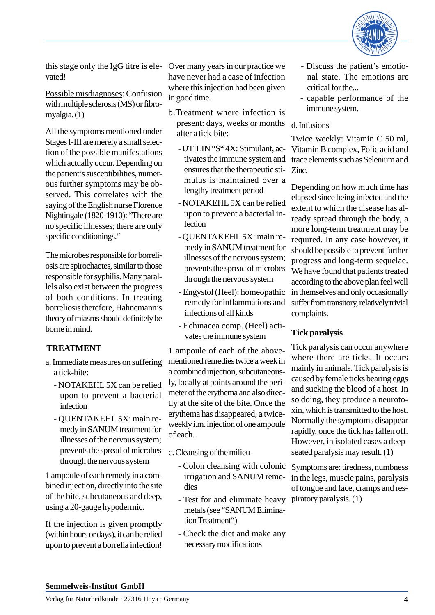

this stage only the IgG titre is elevated!

Possible misdiagnoses: Confusion with multiple sclerosis (MS) or fibromyalgia. (1)

All the symptoms mentioned under Stages I-III are merely a small selection of the possible manifestations which actually occur. Depending on the patient's susceptibilities, numerous further symptoms may be observed. This correlates with the saying of the English nurse Florence Nightingale (1820-1910): "There are no specific illnesses; there are only specific conditionings."

The microbes responsible for borreliosis are spirochaetes, similar to those responsible for syphilis. Many parallels also exist between the progress of both conditions. In treating borreliosis therefore, Hahnemann's theory of miasms should definitely be borne in mind.

# **TREATMENT**

- a. Immediate measures on suffering a tick-bite:
	- NOTAKEHL 5X can be relied upon to prevent a bacterial infection
	- QUENTAKEHL 5X: main remedy in SANUM treatment for illnesses of the nervous system; prevents the spread of microbes through the nervous system

1 ampoule of each remedy in a combined injection, directly into the site of the bite, subcutaneous and deep, using a 20-gauge hypodermic.

If the injection is given promptly (within hours or days), it can be relied upon to prevent a borrelia infection!

Over many years in our practice we have never had a case of infection where this injection had been given in good time.

- b.Treatment where infection is present: days, weeks or months after a tick-bite:
	- UTILIN "S" 4X: Stimulant, activates the immune system and ensures that the therapeutic stimulus is maintained over a lengthy treatment period
	- NOTAKEHL 5X can be relied upon to prevent a bacterial infection
	- QUENTAKEHL 5X: main remedy in SANUM treatment for illnesses of the nervous system; prevents the spread of microbes through the nervous system
	- Engystol (Heel): homeopathic remedy for inflammations and infections of all kinds
	- Echinacea comp. (Heel) activates the immune system

1 ampoule of each of the abovementioned remedies twice a week in a combined injection, subcutaneously, locally at points around the perimeter of the erythema and also directly at the site of the bite. Once the erythema has disappeared, a twiceweekly i.m. injection of one ampoule of each.

c. Cleansing of the milieu

- irrigation and SANUM remedies
- Test for and eliminate heavy piratory paralysis. (1) metals (see "SANUM Elimination Treatment")
- Check the diet and make any necessary modifications
- Discuss the patient's emotional state. The emotions are critical for the...
- capable performance of the immune system.

#### d. Infusions

Twice weekly: Vitamin C 50 ml, Vitamin B complex, Folic acid and trace elements such as Selenium and Zinc.

Depending on how much time has elapsed since being infected and the extent to which the disease has already spread through the body, a more long-term treatment may be required. In any case however, it should be possible to prevent further progress and long-term sequelae. We have found that patients treated according to the above plan feel well in themselves and only occasionally suffer from transitory, relatively trivial complaints.

# **Tick paralysis**

Tick paralysis can occur anywhere where there are ticks. It occurs mainly in animals. Tick paralysis is caused by female ticks bearing eggs and sucking the blood of a host. In so doing, they produce a neurotoxin, which is transmitted to the host. Normally the symptoms disappear rapidly, once the tick has fallen off. However, in isolated cases a deepseated paralysis may result. (1)

- Colon cleansing with colonic Symptoms are: tiredness, numbness in the legs, muscle pains, paralysis of tongue and face, cramps and res-